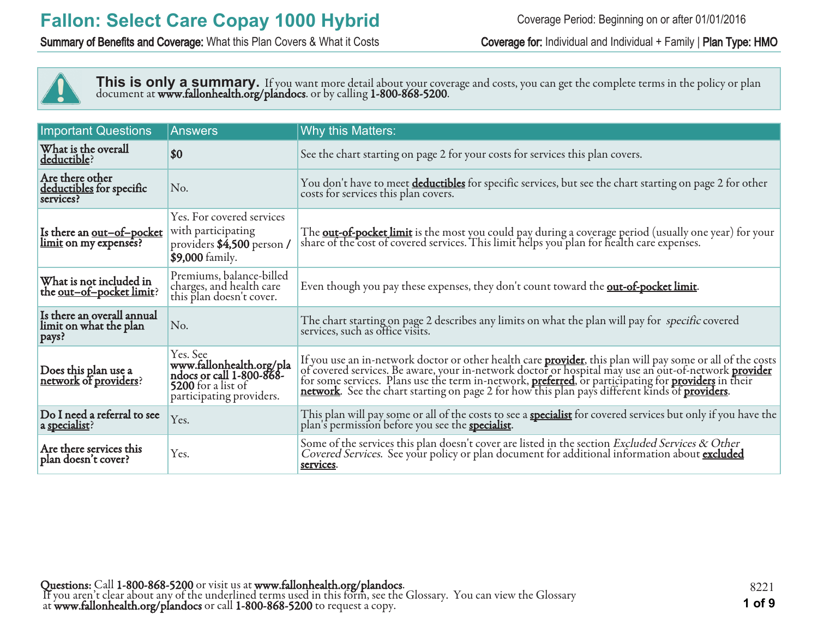Summary of Benefits and Coverage: What this Plan Covers & What it Costs Coverage for: Individual and Individual + Family | Plan Type: HMO



This is only a summary. If you want more detail about your coverage and costs, you can get the complete terms in the policy or plan document at **www.fallonhealth.org/plandocs**. or by calling **1-800-868-5200**.

| <b>Important Questions</b>                                    | <b>Answers</b>                                                                                                     | Why this Matters:                                                                                                                                                                                                                         |
|---------------------------------------------------------------|--------------------------------------------------------------------------------------------------------------------|-------------------------------------------------------------------------------------------------------------------------------------------------------------------------------------------------------------------------------------------|
| What is the overall<br>deductible?                            | \$0                                                                                                                | See the chart starting on page 2 for your costs for services this plan covers.                                                                                                                                                            |
| Are there other<br>deductibles for specific<br>services?      | No.                                                                                                                | You don't have to meet deductibles for specific services, but see the chart starting on page 2 for other<br>costs for services this plan covers.                                                                                          |
| Is there an <u>out-of-pocket</u><br>limit on my expenses?     | Yes. For covered services<br>with participating<br>providers \$4,500 person /<br>\$9,000 family.                   | The <b><u>out-of-pocket limit</u></b> is the most you could pay during a coverage period (usually one year) for your<br>share of the cost of covered services. This limit helps you plan for health care expenses.                        |
| What is not included in<br>the out-of-pocket limit?           | Premiums, balance-billed<br>charges, and health care<br>this plan doesn't cover.                                   | Even though you pay these expenses, they don't count toward the <b>out-of-pocket limit</b> .                                                                                                                                              |
| Is there an overall annual<br>limit on what the plan<br>pays? | No.                                                                                                                | The chart starting on page 2 describes any limits on what the plan will pay for specific covered<br>services, such as office visits.                                                                                                      |
| Does this plan use a<br>network of providers?                 | Yes. See<br>www.fallonhealth.org/pla<br>ndocs or call 1-800-868-<br>5200 for a list of<br>participating providers. | If you use an in-network doctor or other health care <b>provider</b> , this plan will pay some or all of the costs of covered services. Be aware, your in-network doctor or hospital may use an out-of-network <b>provider</b> for some s |
| Do I need a referral to see<br>a specialist?                  | Yes.                                                                                                               | This plan will pay some or all of the costs to see a <b>specialist</b> for covered services but only if you have the plan's permission before you see the <b>specialist</b> .                                                             |
| Are there services this<br>plan doesn't cover?                | Yes.                                                                                                               | Some of the services this plan doesn't cover are listed in the section Excluded Services & Other<br>Covered Services. See your policy or plan document for additional information about excluded<br>services.                             |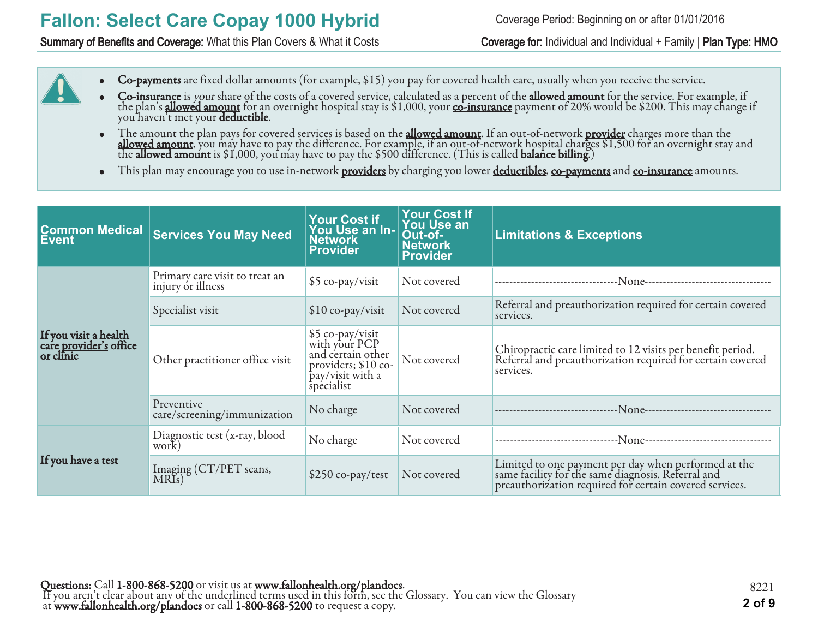Summary of Benefits and Coverage: What this Plan Covers & What it Costs Coverage for: Individual and Individual + Family | Plan Type: HMO

- Co-payments are fixed dollar amounts (for example, \$15) you pay for covered health care, usually when you receive the service.
- Co-insurance is your share of the costs of a covered service, calculated as a percent of the allowed amount for the service. For example, if the plan's <mark>allowed amount</mark> for an overnight hospital stay is \$1,000, your <u>co-insurance</u> payment of 20% would be \$200. This may change if you haven't met your <u>deductible</u>.
- The amount the plan pays for covered services is based on the **allowed amount**. If an out-of-network <mark>provider</mark> charges more than the **allowed amount**, you may have to pay the difference. For example, if an out-of-network hospital charges \$1,500 for an overnight stay and the **allowed amount** is \$1,000, you may have to pay the \$500 difference. (This is called **balance billing.**)
- This plan may encourage you to use in-network **providers** by charging you lower **deductibles**, co-payments and co-insurance amounts.

| <b>Common Medical</b><br>Event                                      | <b>Services You May Need</b>                        | <b>Your Cost if</b><br>You Use an In-<br><b>Network</b><br><b>Provider</b>                                       | <b>Your Cost If</b><br>You Use an<br>Out-of-<br><b>Network</b><br>Provider | <b>Limitations &amp; Exceptions</b>                                                                                                                                   |
|---------------------------------------------------------------------|-----------------------------------------------------|------------------------------------------------------------------------------------------------------------------|----------------------------------------------------------------------------|-----------------------------------------------------------------------------------------------------------------------------------------------------------------------|
|                                                                     | Primary care visit to treat an<br>injury or illness | \$5 co-pay/visit                                                                                                 | Not covered                                                                | --None---------------------------<br>--------------------------------                                                                                                 |
|                                                                     | Specialist visit                                    | \$10 co-pay/visit                                                                                                | Not covered                                                                | Referral and preauthorization required for certain covered<br>services.                                                                                               |
| If you visit a health<br>care <u>provider's</u> office<br>or clinic | Other practitioner office visit                     | \$5 co-pay/visit<br>with your PCP<br>and certain other<br>providers; $$10$ co-<br>pay/visit with a<br>specialist | Not covered                                                                | Chiropractic care limited to 12 visits per benefit period.<br>Referral and preauthorization required for certain covered<br>services.                                 |
|                                                                     | Preventive<br>care/screening/immunization           | No charge                                                                                                        | Not covered                                                                |                                                                                                                                                                       |
|                                                                     | Diagnostic test (x-ray, blood<br>work)              | No charge                                                                                                        | Not covered                                                                | -None----------------------------                                                                                                                                     |
| If you have a test                                                  | Imaging (CT/PET scans,<br>MRIs)                     | \$250 co-pay/test                                                                                                | Not covered                                                                | Limited to one payment per day when performed at the<br>same facility for the same diagnosis. Referral and<br>preauthorization required for certain covered services. |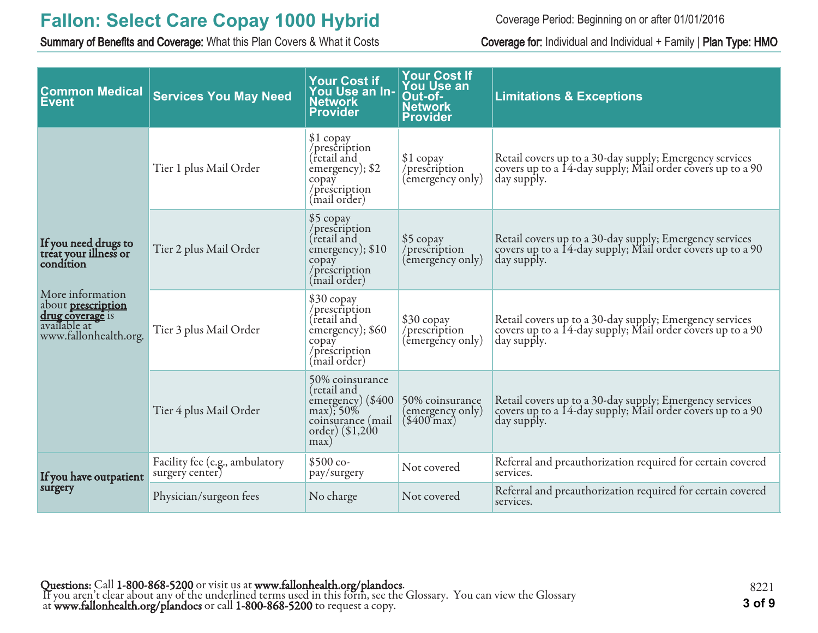Summary of Benefits and Coverage: What this Plan Covers & What it Costs Coverage for: Individual and Individual + Family | Plan Type: HMO

Coverage Period: Beginning on or after 01/01/2016

| <b>Common Medical</b><br><b>Event</b>                                                                      | <b>Services You May Need</b>                      | <b>Your Cost if</b><br>You Use an In-<br><b>Network</b><br><b>Provider</b>                                         | <b>Your Cost If</b><br><b>You Use an</b><br>Out-of-<br><b>Network</b><br><b>Provider</b> | <b>Limitations &amp; Exceptions</b>                                                                                                  |
|------------------------------------------------------------------------------------------------------------|---------------------------------------------------|--------------------------------------------------------------------------------------------------------------------|------------------------------------------------------------------------------------------|--------------------------------------------------------------------------------------------------------------------------------------|
|                                                                                                            | Tier 1 plus Mail Order                            | \$1 copay<br>/prescription<br>(retail and<br>emergency); \$2<br>copay<br>/prescription<br>(mail order)             | $$1$ copay<br>/prescription<br>(emergency only)                                          | Retail covers up to a 30-day supply; Emergency services<br>covers up to a 14-day supply; Mail order covers up to a 90<br>day supply. |
| If you need drugs to<br>treat your illness or<br>condition                                                 | Tier 2 plus Mail Order                            | \$5 copay<br>/prescription<br>(retail and<br>emergency); \$10<br>copay<br>/prescription<br>(mail order)            | \$5 copay<br>/prescription<br>(emergency only)                                           | Retail covers up to a 30-day supply; Emergency services<br>covers up to a 14-day supply; Mail order covers up to a 90<br>day supply. |
| More information<br>about <b>prescription</b><br>drug coverage is<br>available at<br>www.fallonhealth.org. | Tier 3 plus Mail Order                            | \$30 copay<br>/prescription<br>(retail and<br>emergency); \$60<br>copay<br>/prescription<br>(mail order)           | \$30 copay<br>/prescription<br>(êmergency only)                                          | Retail covers up to a 30-day supply; Emergency services<br>covers up to a 14-day supply; Mail order covers up to a 90<br>day supply. |
|                                                                                                            | Tier 4 plus Mail Order                            | 50% coinsurance<br>(retail and<br>emergency) (\$400<br>$max$ ); 50%<br>coinsurance (mail<br>order) (\$1,200<br>max | 50% coinsurance<br>(emergency only)<br>$(\$400^{\circ}$ max $)$                          | Retail covers up to a 30-day supply; Emergency services<br>covers up to a 14-day supply; Mail order covers up to a 90<br>day supply. |
| If you have outpatient                                                                                     | Facility fee (e.g., ambulatory<br>surgery center) | $$500 co-$<br>pay/surgery                                                                                          | Not covered                                                                              | Referral and preauthorization required for certain covered<br>services.                                                              |
| surgery                                                                                                    | Physician/surgeon fees                            | No charge                                                                                                          | Not covered                                                                              | Referral and preauthorization required for certain covered<br>services.                                                              |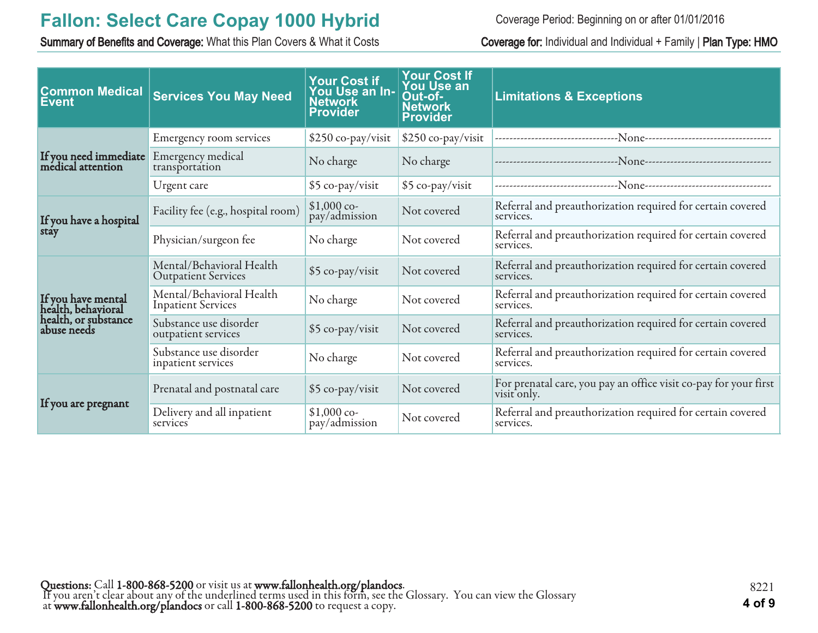Summary of Benefits and Coverage: What this Plan Covers & What it Costs Coverage for: Individual and Individual + Family | Plan Type: HMO

Coverage Period: Beginning on or after 01/01/2016

| <b>Common Medical</b><br><b>Event</b>      | <b>Services You May Need</b>                           | <b>Your Cost if</b><br>You Use an In-<br><b>Network</b><br><b>Provider</b> | <b>Your Cost If</b><br><b>You Use an</b><br>Out-of-<br><b>Network</b><br><b>Provider</b> | <b>Limitations &amp; Exceptions</b>                                                  |
|--------------------------------------------|--------------------------------------------------------|----------------------------------------------------------------------------|------------------------------------------------------------------------------------------|--------------------------------------------------------------------------------------|
|                                            | Emergency room services                                | \$250 co-pay/visit                                                         | \$250 co-pay/visit                                                                       | --------------------------------N <sub>0NC</sub> ----------------------------------- |
| If you need immediate<br>médical attention | Emergency medical<br>transportation                    | No charge                                                                  | No charge                                                                                |                                                                                      |
|                                            | Urgent care                                            | \$5 co-pay/visit                                                           | \$5 co-pay/visit                                                                         |                                                                                      |
| If you have a hospital                     | Facility fee (e.g., hospital room)                     | $$1,000$ co-<br>pay/admission                                              | Not covered                                                                              | Referral and preauthorization required for certain covered<br>services.              |
| stay                                       | Physician/surgeon fee<br>No charge                     |                                                                            | Not covered                                                                              | Referral and preauthorization required for certain covered<br>services.              |
|                                            | Mental/Behavioral Health<br><b>Outpatient Services</b> | \$5 co-pay/visit                                                           | Not covered                                                                              | Referral and preauthorization required for certain covered<br>services.              |
| If you have mental<br>health, behavioral   | Mental/Behavioral Health<br><b>Inpatient Services</b>  | No charge                                                                  | Not covered                                                                              | Referral and preauthorization required for certain covered<br>services.              |
| health, or substance<br>abuse needs        | Substance use disorder<br>outpatient services          | \$5 co-pay/visit                                                           | Not covered                                                                              | Referral and preauthorization required for certain covered<br>services.              |
|                                            | Substance use disorder<br>inpatient services           | No charge                                                                  | Not covered                                                                              | Referral and preauthorization required for certain covered<br>services.              |
|                                            | Prenatal and postnatal care                            | \$5 co-pay/visit                                                           | Not covered                                                                              | For prenatal care, you pay an office visit co-pay for your first<br>visit only.      |
| If you are pregnant                        | Delivery and all inpatient<br>services                 | $$1,000$ co-<br>pay/admission                                              | Not covered                                                                              | Referral and preauthorization required for certain covered<br>services.              |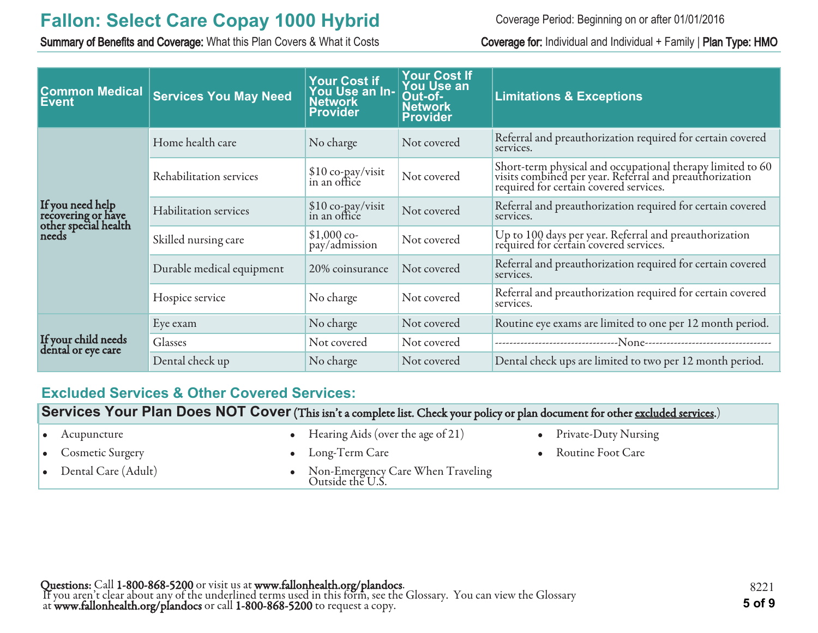Summary of Benefits and Coverage: What this Plan Covers & What it Costs Coverage for: Individual and Individual + Family | Plan Type: HMO

Coverage Period: Beginning on or after 01/01/2016

| <b>Common Medical</b><br><b>Event</b>                                   | <b>Services You May Need</b> | <b>Your Cost if</b><br>You Use an In-<br><b>Network</b><br><b>Provider</b> | <b>Your Cost If</b><br><b>You Use an</b><br>Out-of-<br><b>Network</b><br><b>Provider</b> | <b>Limitations &amp; Exceptions</b>                                                                                                                             |
|-------------------------------------------------------------------------|------------------------------|----------------------------------------------------------------------------|------------------------------------------------------------------------------------------|-----------------------------------------------------------------------------------------------------------------------------------------------------------------|
|                                                                         | Home health care             | No charge                                                                  | Not covered                                                                              | Referral and preauthorization required for certain covered<br>services.                                                                                         |
|                                                                         | Rehabilitation services      | \$10 co-pay/visit<br>in an office                                          | Not covered                                                                              | Short-term physical and occupational therapy limited to 60<br>visits combined per year. Referral and preauthorization<br>required for certain covered services. |
| If you need help<br>recovering or have<br>other special health<br>needs | <b>Habilitation</b> services | \$10 co-pay/visit<br>in an office                                          | Not covered                                                                              | Referral and preauthorization required for certain covered<br>services.                                                                                         |
|                                                                         | Skilled nursing care         | $$1,000$ co-<br>pay/admission                                              | Not covered                                                                              | Up to 100 days per year. Referral and preauthorization<br>required for certain covered services.                                                                |
|                                                                         | Durable medical equipment    | 20% coinsurance                                                            | Not covered                                                                              | Referral and preauthorization required for certain covered<br>services.                                                                                         |
|                                                                         | Hospice service              | No charge                                                                  | Not covered                                                                              | Referral and preauthorization required for certain covered<br>services.                                                                                         |
| If your child needs<br>dental or eye care                               | Eye exam                     | No charge                                                                  | Not covered                                                                              | Routine eye exams are limited to one per 12 month period.                                                                                                       |
|                                                                         | Glasses                      | Not covered                                                                | Not covered                                                                              |                                                                                                                                                                 |
|                                                                         | Dental check up              | No charge                                                                  | Not covered                                                                              | Dental check ups are limited to two per 12 month period.                                                                                                        |

#### **Excluded Services & Other Covered Services:**

**Services Your Plan Does NOT Cover** (This isn't a complete list. Check your policy or plan document for other excluded services.)

| Acupuncture                | • Hearing Aids (over the age of $21$ )                  | • Private-Duty Nursing |
|----------------------------|---------------------------------------------------------|------------------------|
| $\bullet$ Cosmetic Surgery | $\bullet$ Long-Term Care                                | • Routine Foot Care    |
| Dental Care (Adult)        | • Non-Emergency Care When Traveling<br>Outside the U.S. |                        |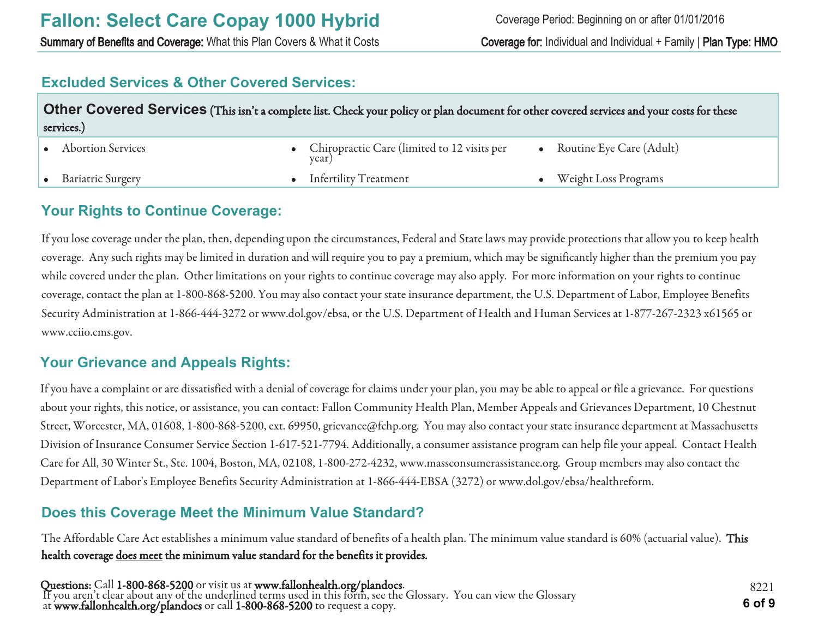Summary of Benefits and Coverage: What this Plan Covers & What it Costs Coverage for: Individual and Individual + Family | Plan Type: HMO

#### **Excluded Services & Other Covered Services:**

| Other Covered Services (This isn't a complete list. Check your policy or plan document for other covered services and your costs for these<br>services.) |  |                                                        |  |                          |
|----------------------------------------------------------------------------------------------------------------------------------------------------------|--|--------------------------------------------------------|--|--------------------------|
| <b>Abortion Services</b>                                                                                                                                 |  | • Chiropractic Care (limited to 12 visits per<br>year) |  | Routine Eye Care (Adult) |
| <b>Bariatric Surgery</b>                                                                                                                                 |  | • Infertility Treatment                                |  | Weight Loss Programs     |

#### **Your Rights to Continue Coverage:**

If you lose coverage under the plan, then, depending upon the circumstances, Federal and State laws may provide protections that allow you to keep health coverage. Any such rights may be limited in duration and will require you to pay a premium, which may be significantly higher than the premium you pay while covered under the plan. Other limitations on your rights to continue coverage may also apply. For more information on your rights to continue coverage, contact the plan at 1-800-868-5200. You may also contact your state insurance department, the U.S. Department of Labor, Employee Benefits Security Administration at 1-866-444-3272 or www.dol.gov/ebsa, or the U.S. Department of Health and Human Services at 1-877-267-2323 x61565 or www.cciio.cms.gov.

#### **Your Grievance and Appeals Rights:**

If you have a complaint or are dissatisfied with a denial of coverage for claims under your plan, you may be able to appeal or file a grievance. For questions about your rights, this notice, or assistance, you can contact: Fallon Community Health Plan, Member Appeals and Grievances Department, 10 Chestnut Street, Worcester, MA, 01608, 1-800-868-5200, ext. 69950, grievance@fchp.org. You may also contact your state insurance department at Massachusetts Division of Insurance Consumer Service Section 1-617-521-7794. Additionally, a consumer assistance program can help file your appeal. Contact Health Care for All, 30 Winter St., Ste. 1004, Boston, MA, 02108, 1-800-272-4232, www.massconsumerassistance.org. Group members may also contact the Department of Labor's Employee Benefits Security Administration at 1-866-444-EBSA (3272) or www.dol.gov/ebsa/healthreform.

### **Does this Coverage Meet the Minimum Value Standard?**

The Affordable Care Act establishes a minimum value standard of benefits of a health plan. The minimum value standard is 60% (actuarial value). This health coverage does meet the minimum value standard for the benefits it provides.

Questions: Call 1-800-868-5200 or visit us at www.fallonhealth.org/plandocs. If you aren't clear about any of the underlined terms used in this form, see the Glossary. You can view the Glossary at www.fallonhealth.org/plandocs or call 1-800-868-5200 to request a copy. **6 of 9**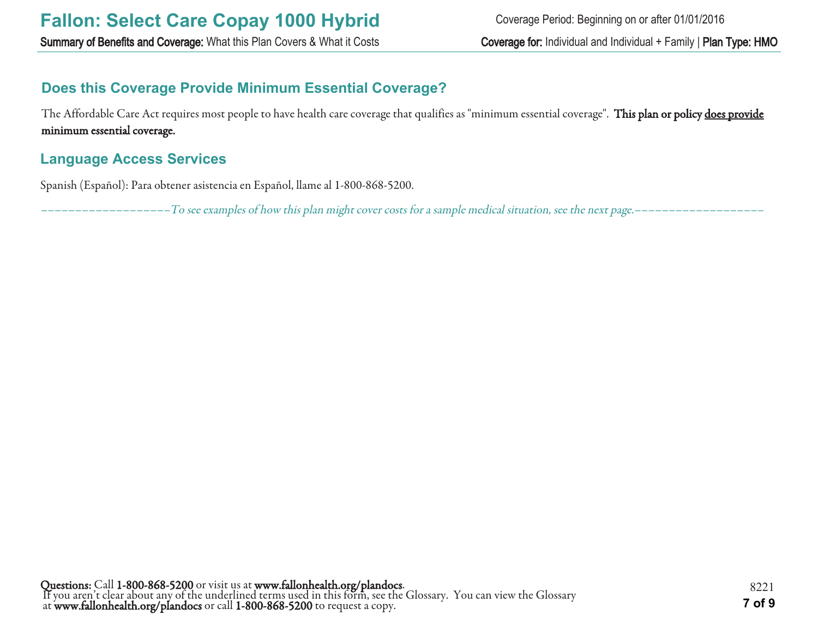### **Does this Coverage Provide Minimum Essential Coverage?**

The Affordable Care Act requires most people to have health care coverage that qualifies as "minimum essential coverage". This plan or policy does provide minimum essential coverage.

#### **Language Access Services**

Spanish (Español): Para obtener asistencia en Español, llame al 1-800-868-5200.

–––––––––––––––––––To see examples of how this plan might cover costs for a sample medical situation, see the next page.–––––––––––––––––––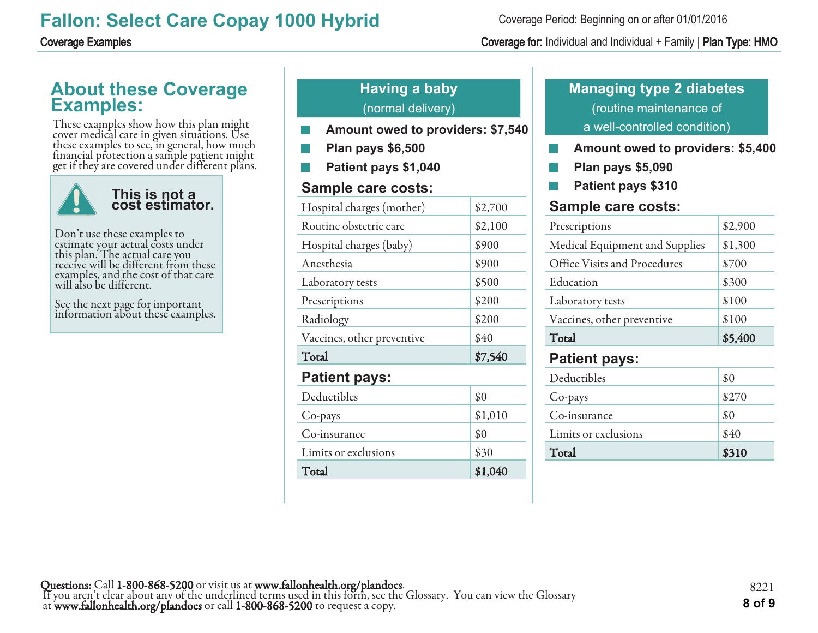### **About these Coverage Examples:**

These examples show how this plan might cover medical care in given situations. Use these examples to see, in general, how much financial protection a sample patient might get if they are covered under different plans.



Don't use these examples to estimate your actual costs under this plan. The actual care you receive will be different from these examples, and the cost of that care will also be different.

See the next page for important information about these examples.

### **Having a baby** (normal delivery)

- **Amount owed to providers: \$7,540**
- **Plan pays \$6,500**
- **Patient pays \$1,040**

#### **Sample care costs:**

| Hospital charges (mother)  | \$2,700 |
|----------------------------|---------|
| Routine obstetric care     | \$2,100 |
| Hospital charges (baby)    | \$900   |
| Anesthesia                 | \$900   |
| Laboratory tests           | \$500   |
| Prescriptions              | \$200   |
| Radiology                  | \$200   |
| Vaccines, other preventive | \$40    |
| Total                      | \$7,540 |
| <b>Patient pays:</b>       |         |
| Deductibles                | \$0     |
| Co-pays                    | \$1,010 |
| Co-insurance               | \$0     |
| Limits or exclusions       | \$30    |
| Total                      | \$1,040 |

#### Coverage Period: Beginning on or after 01/01/2016

#### Coverage Examples Coverage for: Individual and Individual + Family | Plan Type: HMO

### **Managing type 2 diabetes** (routine maintenance of a well-controlled condition)

- **Amount owed to providers: \$5,400 College**
- **Plan pays \$5,090** F.
- **Patient pays \$310**

#### **Sample care costs:**

| Prescriptions                  | \$2,900 |
|--------------------------------|---------|
| Medical Equipment and Supplies | \$1,300 |
| Office Visits and Procedures   | \$700   |
| Education                      | \$300   |
| Laboratory tests               | \$100   |
| Vaccines, other preventive     | \$100   |
| Total                          | \$5,400 |
| <b>Patient pays:</b>           |         |
| Deductibles                    | ደ ሰ     |

| Total                | \$310 |
|----------------------|-------|
| Limits or exclusions | \$40  |
| Co-insurance         | \$0   |
| Co-pays              | \$270 |
| Deductibles          | \$0   |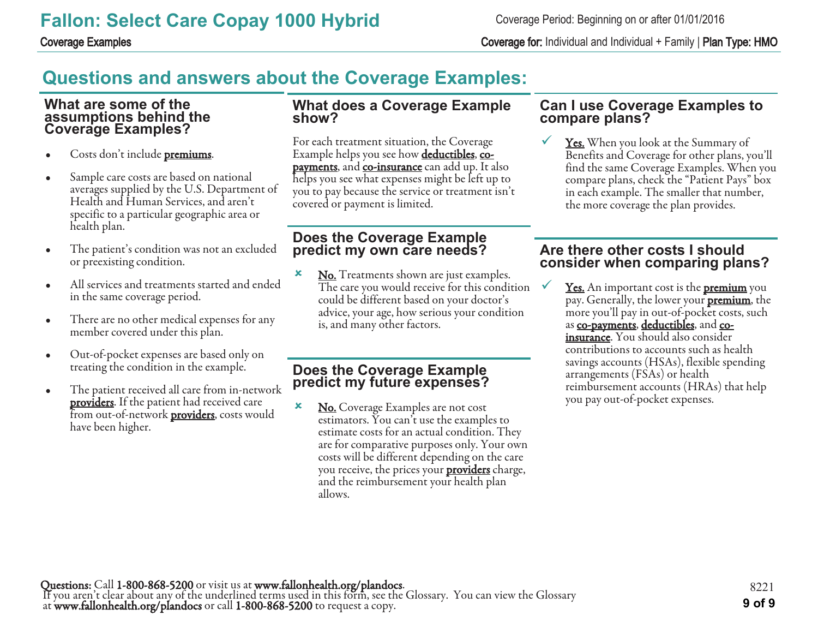Coverage Examples Coverage for: Individual and Individual + Family | Plan Type: HMO

# **Questions and answers about the Coverage Examples:**

#### **What are some of the assumptions behind the Coverage Examples?**

- Costs don't include **premiums**.
- Sample care costs are based on national averages supplied by the U.S. Department of Health and Human Services, and aren't specific to a particular geographic area or health plan.
- The patient's condition was not an excluded or preexisting condition.
- All services and treatments started and ended in the same coverage period.
- There are no other medical expenses for any member covered under this plan.
- Out-of-pocket expenses are based only on treating the condition in the example.
- The patient received all care from in-network **providers**. If the patient had received care from out-of-network **providers**, costs would have been higher.

#### **What does a Coverage Example show?**

For each treatment situation, the Coverage Example helps you see how **deductibles**, copayments, and co-insurance can add up. It also helps you see what expenses might be left up to you to pay because the service or treatment isn't covered or payment is limited.

#### **Does the Coverage Example predict my own care needs?**

**x** No. Treatments shown are just examples. The care you would receive for this condition could be different based on your doctor's advice, your age, how serious your condition is, and many other factors.

#### **Does the Coverage Example predict my future expenses?**

**×** No. Coverage Examples are not cost estimators. You can't use the examples to estimate costs for an actual condition. They are for comparative purposes only. Your own costs will be different depending on the care you receive, the prices your **providers** charge, and the reimbursement your health plan allows.

#### **Can I use Coverage Examples to compare plans?**

**<u>Yes.</u>** When you look at the Summary of Benefits and Coverage for other plans, you'll find the same Coverage Examples. When you compare plans, check the "Patient Pays" box in each example. The smaller that number, the more coverage the plan provides.

#### **Are there other costs I should consider when comparing plans?**

**<u>Yes.</u>** An important cost is the **premium** you pay. Generally, the lower your **premium**, the more you'll pay in out-of-pocket costs, such as co-payments, deductibles, and coinsurance. You should also consider contributions to accounts such as health savings accounts (HSAs), flexible spending arrangements (FSAs) or health reimbursement accounts (HRAs) that help you pay out-of-pocket expenses.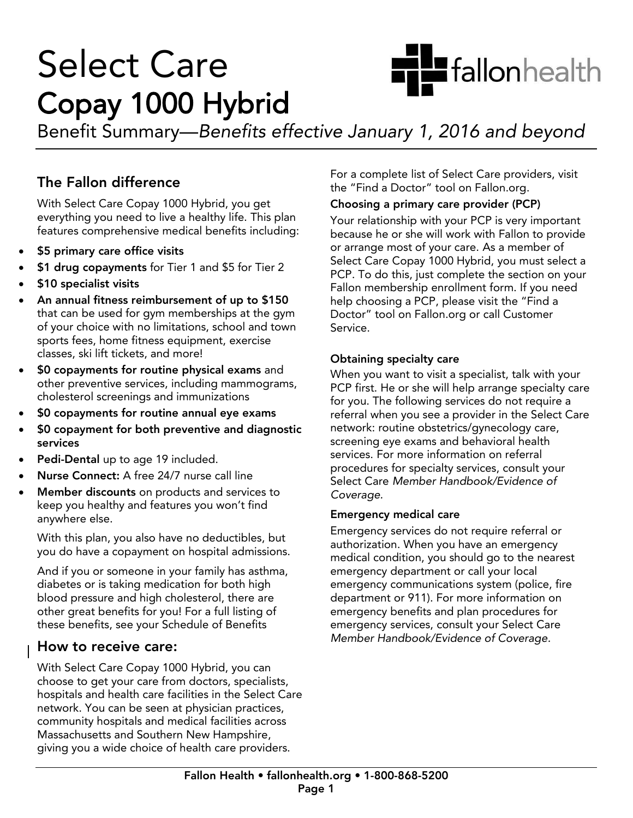

# **Select Care** Copay 1000 Hybrid

Benefit Summary—Benefits ef  $\mathcal{B}$  summary 1, 2016 and between January 1, 2016 and beyond beyond beyond beyond beyond beyond beyond beyond beyond  $\mathcal{B}$ 

### The Fallon difference

With Select Care Copay 1000 Hybrid, you get everything you need to live a healthy life. This plan every anny you need to live a healthy life. This plant features comprehensive medical benefits including:

- \$5 primary care office visits
- \$1 drug copayments for Tier 1 and \$5 for Tier 2
- \$10 specialist visits
- An annual fitness reimbursement of up to \$150 that can be used for gym memberships at the gym of your choice with no limitations, school and town sports fees, home fitness equipment, exercise classes, ski lift tickets, and more!
- \$0 copayments for routine physical exams and<br>other preventive services, including mammogram other preventive services, including mammograms,
- $\bullet$  \$0 copayments for routine annual eye exams
- \$0 copayment for both preventive and diagnostic
- **Pedi-Dental up to age 19 included.**<br> **Nume Connect:** A free 24/7 nume of
- Nurse Connect: A free 24/7 nurse call line
- Member discounts on products and services to<br>keep you healthy and features you won't find keep you healthy and find find find find find find find the find find find  $\frac{1}{2}$ anywhere else.

With the plan, you also have no deductibles, but you do have a copayment on hospital admissions.

And if you or someone in your family has asthma,<br>diabetes or is taking medication for both high blood pressure and high cholesterol, there are other great benefits for you! For a full listing of other great there is you! There is the formation of the full distinguished the full distinguished in the full of the same of the same of the same of the same of the same of the same of the same of the same of the same of t  $t_{\text{t}}$  benefits, see your Schedule of Benefits

**How to receive care:**<br>With Select Care Copay 1000 Hybrid, you can choose to get your care from doctors, specialists, hospitals and health care facilities in the Select Care network. You can be seen at physician practices, community hospitals and medical facilities across Massachusetts and Southern New Hampshire, Massachusetts and Southern New Hampshire, giving you a wide choice of health care providers.

For a complete list of Select Care providers, visit the "Find a Doctor" tool on Fallon.org.

#### Choosing a primary care provider (PCP)

Your relationship with your PCP is very important because he or she will work with Fallon to provide or arrange most of your care. As a member of Select Care Copay 1000 Hybrid, you must select a PCP. To do this, just complete the section on your Fallon membership enrollment form. If you need help choosing a PCP, please visit the "Find a Doctor" tool on Fallon.org or call Customer Service. Service.

Obtaining specialty care<br>When you want to visit a specialist, talk with your PCP first. He or she will help arrange specialty care for you. The following services do not require a referral when you see a provider in the Select Care network: routine obstetrics/gynecology care, screening eye exams and behavioral health services. For more information on referral procedures for specialty services, consult your Select Care Member Handbook/Evidence of Coverage.

#### **Emergency medical care**

Emergency services do not require referral or authorization. When you have an emergency medical condition, you should go to the nearest emergency department or call your local emergency communications system (police, fire department or 911). For more information on emergency benefits and plan procedures for emergency services, consult your Select Care Member Handbook/Evidence of Coverage. Member Handbook/Evidence of Coverage.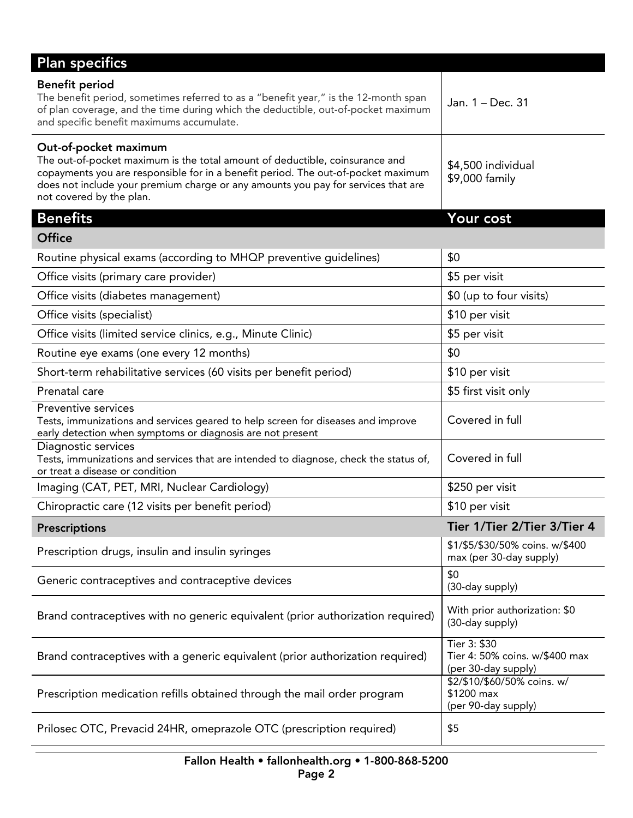| <b>Plan specifics</b>                                                                                                                                                                                                                                                                                       |                                                                       |
|-------------------------------------------------------------------------------------------------------------------------------------------------------------------------------------------------------------------------------------------------------------------------------------------------------------|-----------------------------------------------------------------------|
| <b>Benefit period</b><br>The benefit period, sometimes referred to as a "benefit year," is the 12-month span<br>of plan coverage, and the time during which the deductible, out-of-pocket maximum<br>and specific benefit maximums accumulate.                                                              | Jan. 1 – Dec. 31                                                      |
| Out-of-pocket maximum<br>The out-of-pocket maximum is the total amount of deductible, coinsurance and<br>copayments you are responsible for in a benefit period. The out-of-pocket maximum<br>does not include your premium charge or any amounts you pay for services that are<br>not covered by the plan. | \$4,500 individual<br>\$9,000 family                                  |
| <b>Benefits</b>                                                                                                                                                                                                                                                                                             | Your cost                                                             |
| <b>Office</b>                                                                                                                                                                                                                                                                                               |                                                                       |
| Routine physical exams (according to MHQP preventive guidelines)                                                                                                                                                                                                                                            | \$0                                                                   |
| Office visits (primary care provider)                                                                                                                                                                                                                                                                       | \$5 per visit                                                         |
| Office visits (diabetes management)                                                                                                                                                                                                                                                                         | \$0 (up to four visits)                                               |
| Office visits (specialist)                                                                                                                                                                                                                                                                                  | \$10 per visit                                                        |
| Office visits (limited service clinics, e.g., Minute Clinic)                                                                                                                                                                                                                                                | \$5 per visit                                                         |
| Routine eye exams (one every 12 months)                                                                                                                                                                                                                                                                     | \$0                                                                   |
| Short-term rehabilitative services (60 visits per benefit period)                                                                                                                                                                                                                                           | \$10 per visit                                                        |
| Prenatal care                                                                                                                                                                                                                                                                                               | \$5 first visit only                                                  |
| Preventive services<br>Tests, immunizations and services geared to help screen for diseases and improve<br>early detection when symptoms or diagnosis are not present                                                                                                                                       | Covered in full                                                       |
| Diagnostic services<br>Tests, immunizations and services that are intended to diagnose, check the status of,<br>or treat a disease or condition                                                                                                                                                             | Covered in full                                                       |
| Imaging (CAT, PET, MRI, Nuclear Cardiology)                                                                                                                                                                                                                                                                 | \$250 per visit                                                       |
| Chiropractic care (12 visits per benefit period)                                                                                                                                                                                                                                                            | \$10 per visit                                                        |
| <b>Prescriptions</b>                                                                                                                                                                                                                                                                                        | Tier 1/Tier 2/Tier 3/Tier 4                                           |
| Prescription drugs, insulin and insulin syringes                                                                                                                                                                                                                                                            | \$1/\$5/\$30/50% coins. w/\$400<br>max (per 30-day supply)            |
| Generic contraceptives and contraceptive devices                                                                                                                                                                                                                                                            | \$0<br>(30-day supply)                                                |
| Brand contraceptives with no generic equivalent (prior authorization required)                                                                                                                                                                                                                              | With prior authorization: \$0<br>(30-day supply)                      |
| Brand contraceptives with a generic equivalent (prior authorization required)                                                                                                                                                                                                                               | Tier 3: \$30<br>Tier 4: 50% coins. w/\$400 max<br>(per 30-day supply) |
| Prescription medication refills obtained through the mail order program                                                                                                                                                                                                                                     | \$2/\$10/\$60/50% coins. w/<br>\$1200 max<br>(per 90-day supply)      |
| Prilosec OTC, Prevacid 24HR, omeprazole OTC (prescription required)                                                                                                                                                                                                                                         | \$5                                                                   |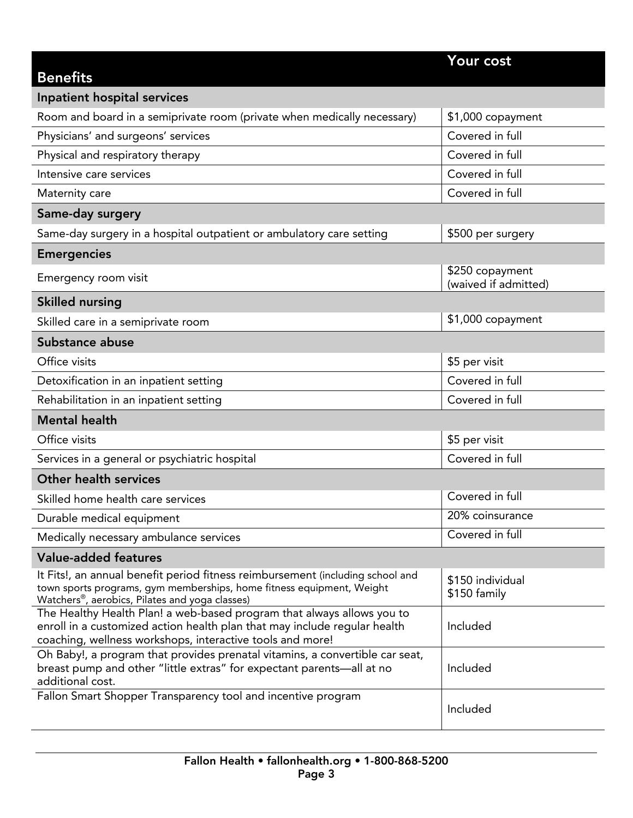| <b>Benefits</b>                                                                                                                                                                                                        | Your cost                               |
|------------------------------------------------------------------------------------------------------------------------------------------------------------------------------------------------------------------------|-----------------------------------------|
| Inpatient hospital services                                                                                                                                                                                            |                                         |
| Room and board in a semiprivate room (private when medically necessary)                                                                                                                                                | \$1,000 copayment                       |
| Physicians' and surgeons' services                                                                                                                                                                                     | Covered in full                         |
| Physical and respiratory therapy                                                                                                                                                                                       | Covered in full                         |
| Intensive care services                                                                                                                                                                                                | Covered in full                         |
| Maternity care                                                                                                                                                                                                         | Covered in full                         |
| Same-day surgery                                                                                                                                                                                                       |                                         |
| Same-day surgery in a hospital outpatient or ambulatory care setting                                                                                                                                                   | \$500 per surgery                       |
| <b>Emergencies</b>                                                                                                                                                                                                     |                                         |
| Emergency room visit                                                                                                                                                                                                   | \$250 copayment<br>(waived if admitted) |
| <b>Skilled nursing</b>                                                                                                                                                                                                 |                                         |
| Skilled care in a semiprivate room                                                                                                                                                                                     | \$1,000 copayment                       |
| Substance abuse                                                                                                                                                                                                        |                                         |
| Office visits                                                                                                                                                                                                          | \$5 per visit                           |
| Detoxification in an inpatient setting                                                                                                                                                                                 | Covered in full                         |
| Rehabilitation in an inpatient setting                                                                                                                                                                                 | Covered in full                         |
| <b>Mental health</b>                                                                                                                                                                                                   |                                         |
| Office visits                                                                                                                                                                                                          | \$5 per visit                           |
| Services in a general or psychiatric hospital                                                                                                                                                                          | Covered in full                         |
| <b>Other health services</b>                                                                                                                                                                                           |                                         |
| Skilled home health care services                                                                                                                                                                                      | Covered in full                         |
| Durable medical equipment                                                                                                                                                                                              | 20% coinsurance                         |
| Medically necessary ambulance services                                                                                                                                                                                 | Covered in full                         |
| <b>Value-added features</b>                                                                                                                                                                                            |                                         |
| It Fits!, an annual benefit period fitness reimbursement (including school and<br>town sports programs, gym memberships, home fitness equipment, Weight<br>Watchers <sup>®</sup> , aerobics, Pilates and yoga classes) | \$150 individual<br>\$150 family        |
| The Healthy Health Plan! a web-based program that always allows you to<br>enroll in a customized action health plan that may include regular health<br>coaching, wellness workshops, interactive tools and more!       | Included                                |
| Oh Baby!, a program that provides prenatal vitamins, a convertible car seat,<br>breast pump and other "little extras" for expectant parents-all at no<br>additional cost.                                              | Included                                |
| Fallon Smart Shopper Transparency tool and incentive program                                                                                                                                                           | Included                                |